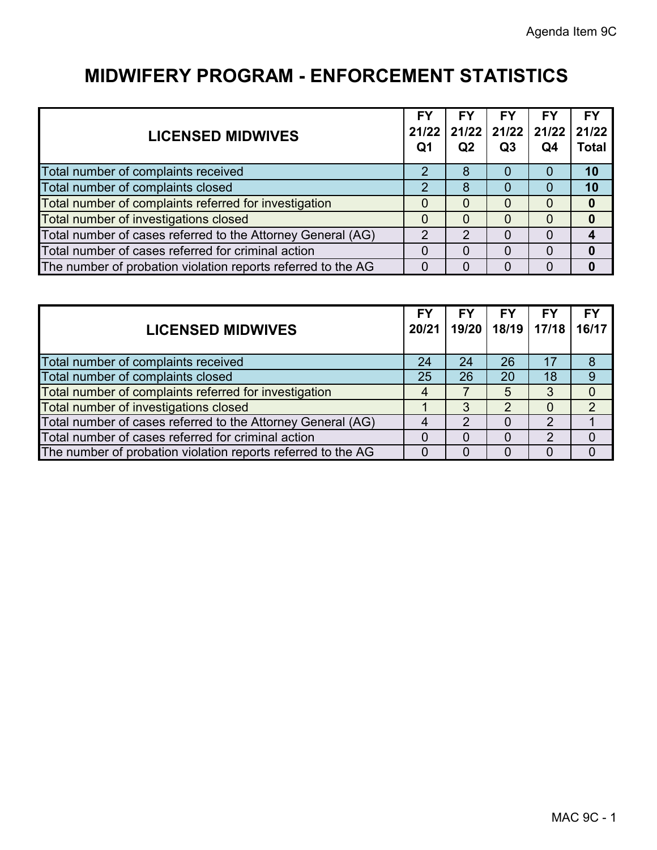| <b>LICENSED MIDWIVES</b>                                     | FY<br>Q <sub>1</sub> | FY<br>Q2 | <b>FY</b><br>21/22 21/22 21/22 21/22<br>Q3 | FY<br>Q4 | <b>FY</b><br>21/22<br><b>Total</b> |
|--------------------------------------------------------------|----------------------|----------|--------------------------------------------|----------|------------------------------------|
| Total number of complaints received                          | 2                    | 8        |                                            | $\Omega$ | 10                                 |
| Total number of complaints closed                            | 2                    | 8        |                                            | $\Omega$ | 10                                 |
| Total number of complaints referred for investigation        | 0                    | 0        |                                            | $\Omega$ |                                    |
| Total number of investigations closed                        | $\Omega$             | 0        |                                            | $\Omega$ |                                    |
| Total number of cases referred to the Attorney General (AG)  | 2                    | 2        |                                            |          |                                    |
| Total number of cases referred for criminal action           |                      | 0        |                                            | $\Omega$ |                                    |
| The number of probation violation reports referred to the AG | 0                    |          |                                            |          |                                    |

| <b>LICENSED MIDWIVES</b>                                     | <b>FY</b><br>20/21 | <b>FY</b> | <b>FY</b><br>19/20   18/19   17/18 | <b>FY</b> | <b>FY</b><br>16/17 |
|--------------------------------------------------------------|--------------------|-----------|------------------------------------|-----------|--------------------|
| Total number of complaints received                          | 24                 | 24        | 26                                 | 17        | 8                  |
| Total number of complaints closed                            | 25                 | 26        | 20                                 | 18        |                    |
| Total number of complaints referred for investigation        | 4                  |           | 5                                  | 3         |                    |
| Total number of investigations closed                        |                    | 3         | າ                                  | $\Omega$  | 2                  |
| Total number of cases referred to the Attorney General (AG)  |                    | 2         |                                    | っ         |                    |
| Total number of cases referred for criminal action           |                    |           |                                    |           |                    |
| The number of probation violation reports referred to the AG | $\Omega$           |           |                                    |           |                    |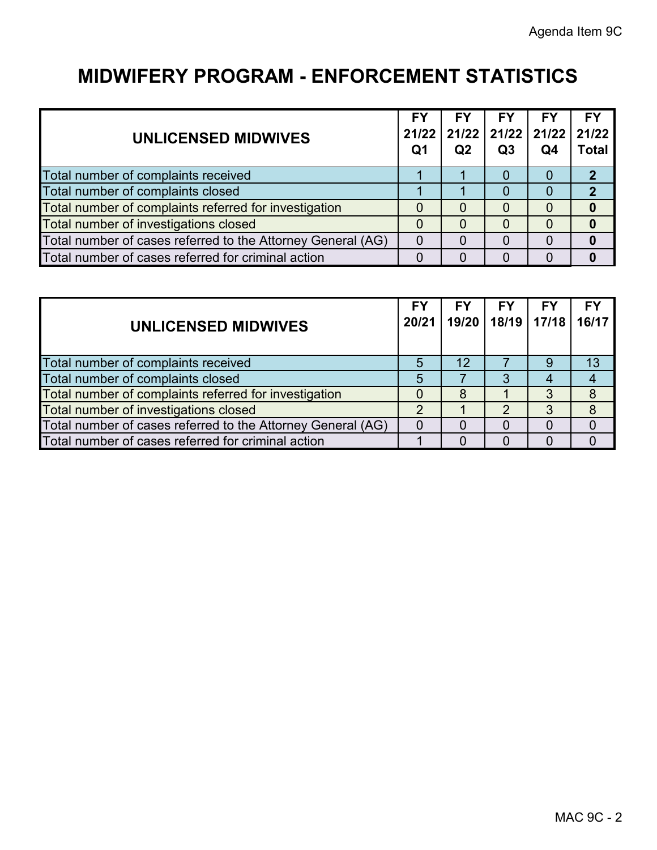| <b>UNLICENSED MIDWIVES</b>                                  | <b>FY</b><br>21/22<br>Q1 | FY<br>Q <sub>2</sub> | <b>FY</b><br>  21/22   21/22   21/22  <br>Q <sub>3</sub> | FΥ<br>Q <sub>4</sub> | <b>FY</b><br>21/22<br><b>Total</b> |
|-------------------------------------------------------------|--------------------------|----------------------|----------------------------------------------------------|----------------------|------------------------------------|
| Total number of complaints received                         |                          |                      |                                                          |                      | $\boldsymbol{\mathcal{P}}$         |
| Total number of complaints closed                           |                          |                      |                                                          |                      | $\mathbf 2$                        |
| Total number of complaints referred for investigation       |                          |                      |                                                          |                      |                                    |
| Total number of investigations closed                       | O                        |                      |                                                          |                      |                                    |
| Total number of cases referred to the Attorney General (AG) | 0                        |                      |                                                          |                      |                                    |
| Total number of cases referred for criminal action          |                          |                      |                                                          |                      |                                    |

| UNLICENSED MIDWIVES                                         | <b>FY</b><br>20/21 | FY              | <b>FY</b><br>19/20   18/19   17/18   16/17 | FΥ | <b>FY</b> |
|-------------------------------------------------------------|--------------------|-----------------|--------------------------------------------|----|-----------|
| Total number of complaints received                         | 5                  | 12 <sup>°</sup> |                                            | 9  | 13        |
| Total number of complaints closed                           | 5                  |                 |                                            |    |           |
| Total number of complaints referred for investigation       | 0                  | 8               |                                            | 3  | 8         |
| Total number of investigations closed                       | 2                  |                 |                                            |    | 8         |
| Total number of cases referred to the Attorney General (AG) |                    |                 |                                            |    |           |
| Total number of cases referred for criminal action          |                    |                 |                                            |    |           |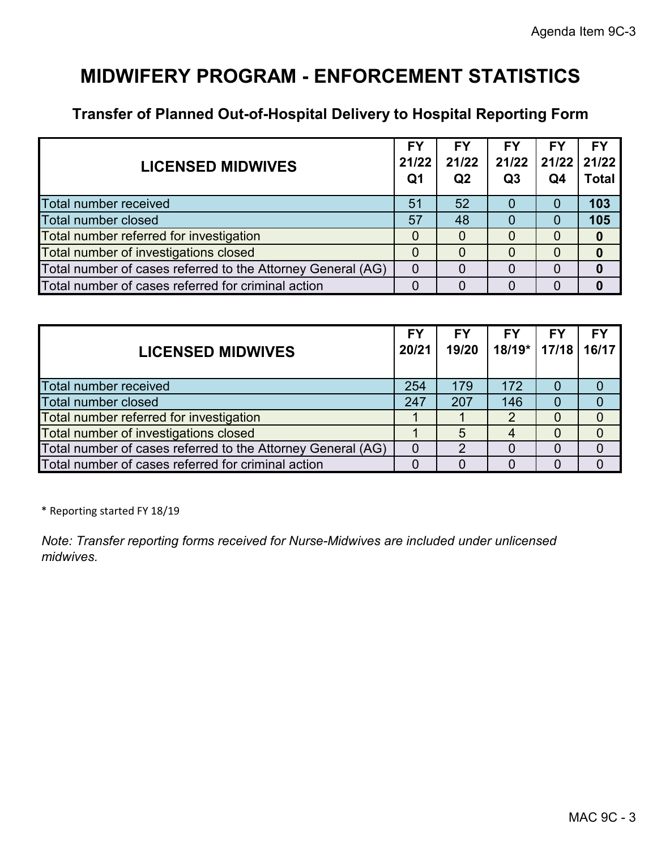#### **Transfer of Planned Out-of-Hospital Delivery to Hospital Reporting Form**

| <b>LICENSED MIDWIVES</b>                                    | FY<br>21/22<br>Q <sub>1</sub> | <b>FY</b><br>21/22<br>Q <sub>2</sub> | FΥ<br>21/22<br>Q <sub>3</sub> | FΥ<br> 21/22 21/22 <br>Q4 | FΥ<br>Total |
|-------------------------------------------------------------|-------------------------------|--------------------------------------|-------------------------------|---------------------------|-------------|
| Total number received                                       | 51                            | 52                                   |                               | 0                         | 103         |
| <b>Total number closed</b>                                  | 57                            | 48                                   |                               | 0                         | 105         |
| Total number referred for investigation                     |                               |                                      | $\Omega$                      | $\Omega$                  |             |
| Total number of investigations closed                       |                               |                                      |                               | $\mathcal{L}$             |             |
| Total number of cases referred to the Attorney General (AG) | $\overline{0}$                |                                      |                               |                           |             |
| Total number of cases referred for criminal action          |                               |                                      |                               |                           |             |

| <b>LICENSED MIDWIVES</b>                                    | FY<br>20/21    | <b>FY</b><br>19/20 | FΥ<br>18/19*   17/18 | FY | FY<br>16/17 |
|-------------------------------------------------------------|----------------|--------------------|----------------------|----|-------------|
| Total number received                                       | 254            | 179                | 172                  | O  |             |
| Total number closed                                         | 247            | 207                | 146                  |    |             |
| Total number referred for investigation                     |                |                    |                      |    |             |
| Total number of investigations closed                       |                | 5                  |                      |    |             |
| Total number of cases referred to the Attorney General (AG) | $\overline{0}$ |                    |                      |    |             |
| Total number of cases referred for criminal action          |                |                    |                      |    |             |

\* Reporting started FY 18/19

*Note: Transfer reporting forms received for Nurse-Midwives are included under unlicensed midwives.*